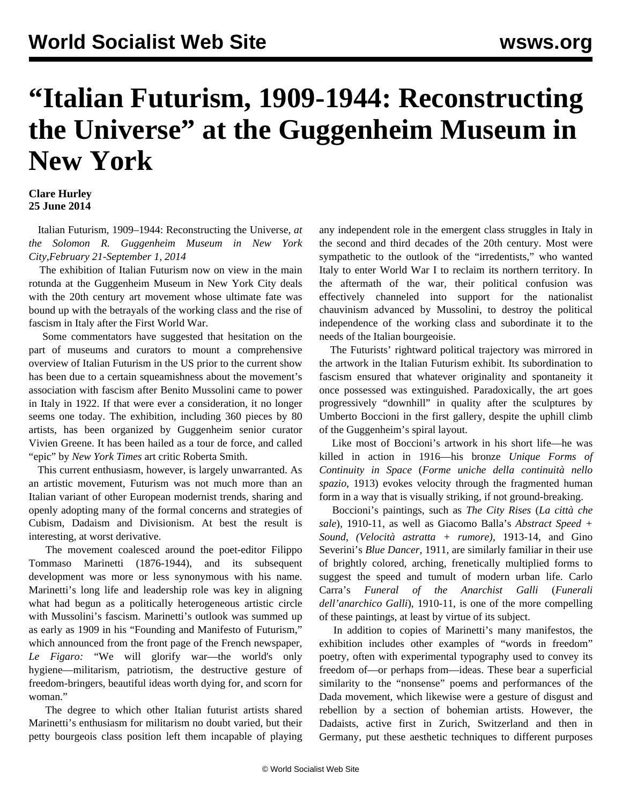## **"Italian Futurism, 1909-1944: Reconstructing the Universe" at the Guggenheim Museum in New York**

## **Clare Hurley 25 June 2014**

 Italian Futurism, 1909–1944: Reconstructing the Universe*, at the Solomon R. Guggenheim Museum in New York City,February 21-September 1, 2014*

 The exhibition of Italian Futurism now on view in the main rotunda at the Guggenheim Museum in New York City deals with the 20th century art movement whose ultimate fate was bound up with the betrayals of the working class and the rise of fascism in Italy after the First World War.

 Some commentators have suggested that hesitation on the part of museums and curators to mount a comprehensive overview of Italian Futurism in the US prior to the current show has been due to a certain squeamishness about the movement's association with fascism after Benito Mussolini came to power in Italy in 1922. If that were ever a consideration, it no longer seems one today. The exhibition, including 360 pieces by 80 artists, has been organized by Guggenheim senior curator Vivien Greene. It has been hailed as a tour de force, and called "epic" by *New York Times* art critic Roberta Smith.

 This current enthusiasm, however, is largely unwarranted. As an artistic movement, Futurism was not much more than an Italian variant of other European modernist trends, sharing and openly adopting many of the formal concerns and strategies of Cubism, Dadaism and Divisionism. At best the result is interesting, at worst derivative.

 The movement coalesced around the poet-editor Filippo Tommaso Marinetti (1876-1944), and its subsequent development was more or less synonymous with his name. Marinetti's long life and leadership role was key in aligning what had begun as a politically heterogeneous artistic circle with Mussolini's fascism. Marinetti's outlook was summed up as early as 1909 in his "Founding and Manifesto of Futurism," which announced from the front page of the French newspaper, *Le Figaro:* "We will glorify war—the world's only hygiene—militarism, patriotism, the destructive gesture of freedom-bringers, beautiful ideas worth dying for, and scorn for woman."

 The degree to which other Italian futurist artists shared Marinetti's enthusiasm for militarism no doubt varied, but their petty bourgeois class position left them incapable of playing any independent role in the emergent class struggles in Italy in the second and third decades of the 20th century. Most were sympathetic to the outlook of the "irredentists," who wanted Italy to enter World War I to reclaim its northern territory. In the aftermath of the war, their political confusion was effectively channeled into support for the nationalist chauvinism advanced by Mussolini, to destroy the political independence of the working class and subordinate it to the needs of the Italian bourgeoisie.

 The Futurists' rightward political trajectory was mirrored in the artwork in the Italian Futurism exhibit. Its subordination to fascism ensured that whatever originality and spontaneity it once possessed was extinguished. Paradoxically, the art goes progressively "downhill" in quality after the sculptures by Umberto Boccioni in the first gallery, despite the uphill climb of the Guggenheim's spiral layout.

 Like most of Boccioni's artwork in his short life—he was killed in action in 1916—his bronze *Unique Forms of Continuity in Space* (*Forme uniche della continuità nello spazio*, 1913) evokes velocity through the fragmented human form in a way that is visually striking, if not ground-breaking.

 Boccioni's paintings, such as *The City Rises* (*La città che sale*), 1910-11, as well as Giacomo Balla's *Abstract Speed + Sound*, *(Velocità astratta + rumore)*, 1913-14, and Gino Severini's *Blue Dancer,* 1911, are similarly familiar in their use of brightly colored, arching, frenetically multiplied forms to suggest the speed and tumult of modern urban life. Carlo Carra's *Funeral of the Anarchist Galli* (*Funerali dell'anarchico Galli*), 1910-11, is one of the more compelling of these paintings, at least by virtue of its subject.

 In addition to copies of Marinetti's many manifestos, the exhibition includes other examples of "words in freedom" poetry, often with experimental typography used to convey its freedom of—or perhaps from—ideas. These bear a superficial similarity to the "nonsense" poems and performances of the Dada movement, which likewise were a gesture of disgust and rebellion by a section of bohemian artists. However, the Dadaists, active first in Zurich, Switzerland and then in Germany, put these aesthetic techniques to different purposes